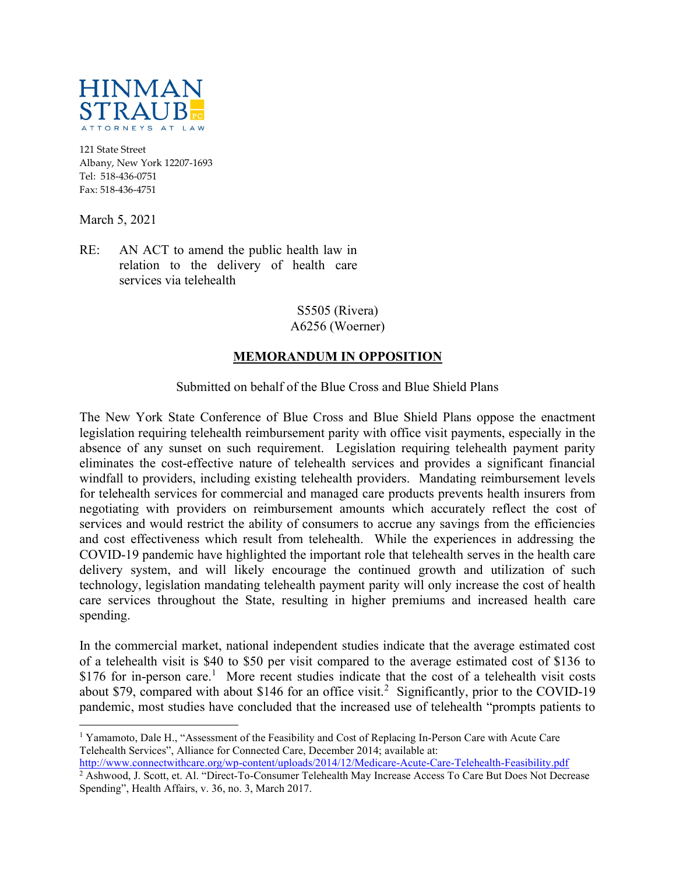

121 State Street Albany, New York 12207-1693 Tel: 518-436-0751 Fax: 518-436-4751

March 5, 2021

RE: AN ACT to amend the public health law in relation to the delivery of health care services via telehealth

> S5505 (Rivera) A6256 (Woerner)

## MEMORANDUM IN OPPOSITION

Submitted on behalf of the Blue Cross and Blue Shield Plans

The New York State Conference of Blue Cross and Blue Shield Plans oppose the enactment legislation requiring telehealth reimbursement parity with office visit payments, especially in the absence of any sunset on such requirement. Legislation requiring telehealth payment parity eliminates the cost-effective nature of telehealth services and provides a significant financial windfall to providers, including existing telehealth providers. Mandating reimbursement levels for telehealth services for commercial and managed care products prevents health insurers from negotiating with providers on reimbursement amounts which accurately reflect the cost of services and would restrict the ability of consumers to accrue any savings from the efficiencies and cost effectiveness which result from telehealth. While the experiences in addressing the COVID-19 pandemic have highlighted the important role that telehealth serves in the health care delivery system, and will likely encourage the continued growth and utilization of such technology, legislation mandating telehealth payment parity will only increase the cost of health care services throughout the State, resulting in higher premiums and increased health care spending.

In the commercial market, national independent studies indicate that the average estimated cost of a telehealth visit is \$40 to \$50 per visit compared to the average estimated cost of \$136 to \$176 for in-person care.<sup>1</sup> More recent studies indicate that the cost of a telehealth visit costs about \$79, compared with about \$146 for an office visit.<sup>2</sup> Significantly, prior to the COVID-19 pandemic, most studies have concluded that the increased use of telehealth "prompts patients to

<sup>&</sup>lt;sup>1</sup> Yamamoto, Dale H., "Assessment of the Feasibility and Cost of Replacing In-Person Care with Acute Care Telehealth Services", Alliance for Connected Care, December 2014; available at:

http://www.connectwithcare.org/wp-content/uploads/2014/12/Medicare-Acute-Care-Telehealth-Feasibility.pdf

<sup>&</sup>lt;sup>2</sup> Ashwood, J. Scott, et. Al. "Direct-To-Consumer Telehealth May Increase Access To Care But Does Not Decrease Spending", Health Affairs, v. 36, no. 3, March 2017.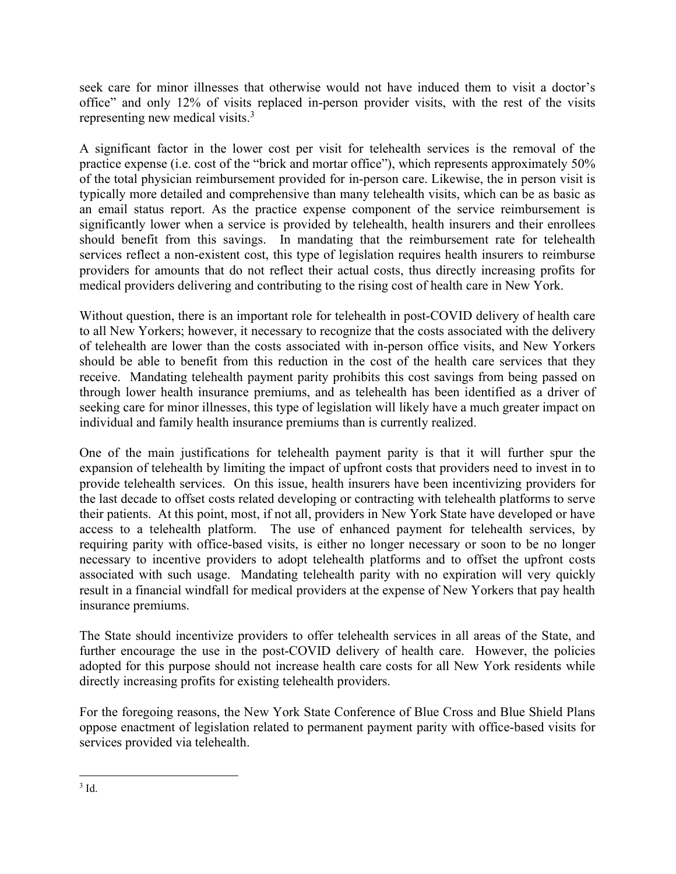seek care for minor illnesses that otherwise would not have induced them to visit a doctor's office" and only 12% of visits replaced in-person provider visits, with the rest of the visits representing new medical visits.<sup>3</sup>

A significant factor in the lower cost per visit for telehealth services is the removal of the practice expense (i.e. cost of the "brick and mortar office"), which represents approximately 50% of the total physician reimbursement provided for in-person care. Likewise, the in person visit is typically more detailed and comprehensive than many telehealth visits, which can be as basic as an email status report. As the practice expense component of the service reimbursement is significantly lower when a service is provided by telehealth, health insurers and their enrollees should benefit from this savings. In mandating that the reimbursement rate for telehealth services reflect a non-existent cost, this type of legislation requires health insurers to reimburse providers for amounts that do not reflect their actual costs, thus directly increasing profits for medical providers delivering and contributing to the rising cost of health care in New York.

Without question, there is an important role for telehealth in post-COVID delivery of health care to all New Yorkers; however, it necessary to recognize that the costs associated with the delivery of telehealth are lower than the costs associated with in-person office visits, and New Yorkers should be able to benefit from this reduction in the cost of the health care services that they receive. Mandating telehealth payment parity prohibits this cost savings from being passed on through lower health insurance premiums, and as telehealth has been identified as a driver of seeking care for minor illnesses, this type of legislation will likely have a much greater impact on individual and family health insurance premiums than is currently realized.

One of the main justifications for telehealth payment parity is that it will further spur the expansion of telehealth by limiting the impact of upfront costs that providers need to invest in to provide telehealth services. On this issue, health insurers have been incentivizing providers for the last decade to offset costs related developing or contracting with telehealth platforms to serve their patients. At this point, most, if not all, providers in New York State have developed or have access to a telehealth platform. The use of enhanced payment for telehealth services, by requiring parity with office-based visits, is either no longer necessary or soon to be no longer necessary to incentive providers to adopt telehealth platforms and to offset the upfront costs associated with such usage. Mandating telehealth parity with no expiration will very quickly result in a financial windfall for medical providers at the expense of New Yorkers that pay health insurance premiums.

The State should incentivize providers to offer telehealth services in all areas of the State, and further encourage the use in the post-COVID delivery of health care. However, the policies adopted for this purpose should not increase health care costs for all New York residents while directly increasing profits for existing telehealth providers.

For the foregoing reasons, the New York State Conference of Blue Cross and Blue Shield Plans oppose enactment of legislation related to permanent payment parity with office-based visits for services provided via telehealth.

 $3$  Id.